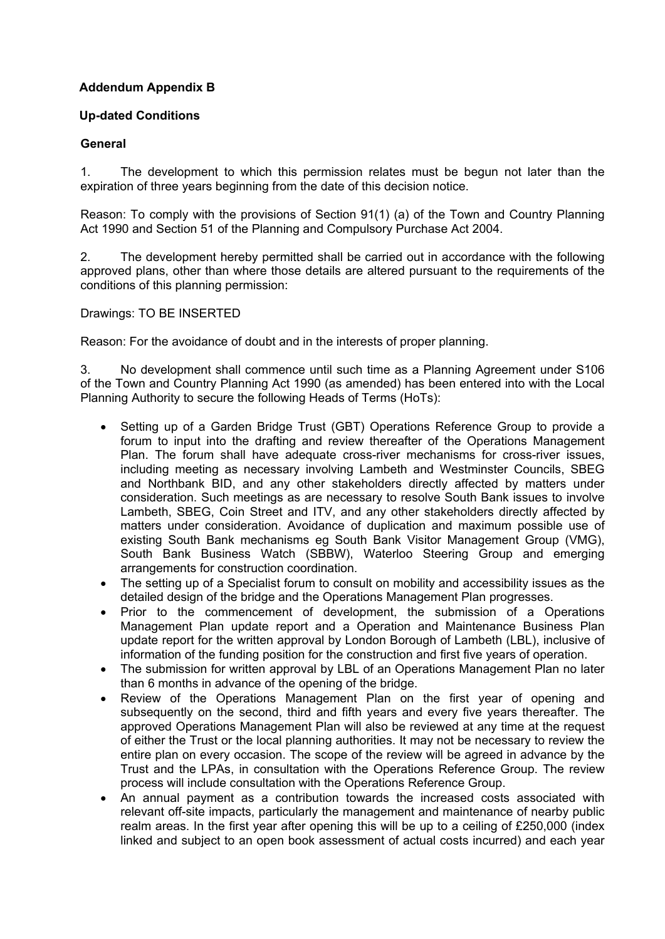# **Addendum Appendix B**

## **Up-dated Conditions**

## **General**

1. The development to which this permission relates must be begun not later than the expiration of three years beginning from the date of this decision notice.

Reason: To comply with the provisions of Section 91(1) (a) of the Town and Country Planning Act 1990 and Section 51 of the Planning and Compulsory Purchase Act 2004.

2. The development hereby permitted shall be carried out in accordance with the following approved plans, other than where those details are altered pursuant to the requirements of the conditions of this planning permission:

Drawings: TO BE INSERTED

Reason: For the avoidance of doubt and in the interests of proper planning.

3. No development shall commence until such time as a Planning Agreement under S106 of the Town and Country Planning Act 1990 (as amended) has been entered into with the Local Planning Authority to secure the following Heads of Terms (HoTs):

- Setting up of a Garden Bridge Trust (GBT) Operations Reference Group to provide a forum to input into the drafting and review thereafter of the Operations Management Plan. The forum shall have adequate cross-river mechanisms for cross-river issues, including meeting as necessary involving Lambeth and Westminster Councils, SBEG and Northbank BID, and any other stakeholders directly affected by matters under consideration. Such meetings as are necessary to resolve South Bank issues to involve Lambeth, SBEG, Coin Street and ITV, and any other stakeholders directly affected by matters under consideration. Avoidance of duplication and maximum possible use of existing South Bank mechanisms eg South Bank Visitor Management Group (VMG), South Bank Business Watch (SBBW), Waterloo Steering Group and emerging arrangements for construction coordination.
- The setting up of a Specialist forum to consult on mobility and accessibility issues as the detailed design of the bridge and the Operations Management Plan progresses.
- Prior to the commencement of development, the submission of a Operations Management Plan update report and a Operation and Maintenance Business Plan update report for the written approval by London Borough of Lambeth (LBL), inclusive of information of the funding position for the construction and first five years of operation.
- The submission for written approval by LBL of an Operations Management Plan no later than 6 months in advance of the opening of the bridge.
- Review of the Operations Management Plan on the first year of opening and subsequently on the second, third and fifth years and every five years thereafter. The approved Operations Management Plan will also be reviewed at any time at the request of either the Trust or the local planning authorities. It may not be necessary to review the entire plan on every occasion. The scope of the review will be agreed in advance by the Trust and the LPAs, in consultation with the Operations Reference Group. The review process will include consultation with the Operations Reference Group.
- An annual payment as a contribution towards the increased costs associated with relevant off-site impacts, particularly the management and maintenance of nearby public realm areas. In the first year after opening this will be up to a ceiling of £250,000 (index linked and subject to an open book assessment of actual costs incurred) and each year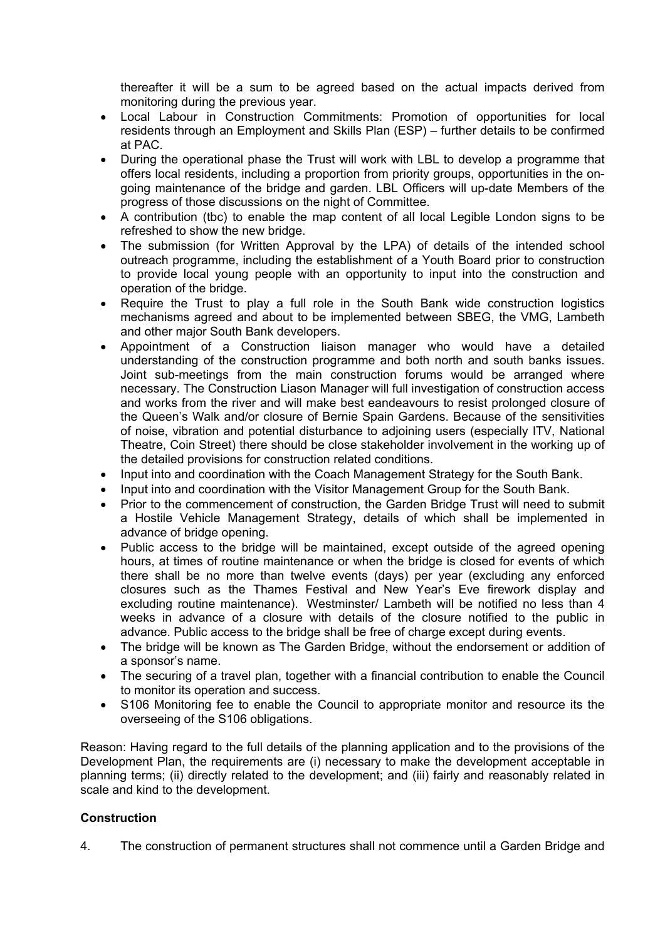thereafter it will be a sum to be agreed based on the actual impacts derived from monitoring during the previous year.

- Local Labour in Construction Commitments: Promotion of opportunities for local residents through an Employment and Skills Plan (ESP) – further details to be confirmed at PAC.
- During the operational phase the Trust will work with LBL to develop a programme that offers local residents, including a proportion from priority groups, opportunities in the ongoing maintenance of the bridge and garden. LBL Officers will up-date Members of the progress of those discussions on the night of Committee.
- A contribution (tbc) to enable the map content of all local Legible London signs to be refreshed to show the new bridge.
- The submission (for Written Approval by the LPA) of details of the intended school outreach programme, including the establishment of a Youth Board prior to construction to provide local young people with an opportunity to input into the construction and operation of the bridge.
- Require the Trust to play a full role in the South Bank wide construction logistics mechanisms agreed and about to be implemented between SBEG, the VMG, Lambeth and other major South Bank developers.
- Appointment of a Construction liaison manager who would have a detailed understanding of the construction programme and both north and south banks issues. Joint sub-meetings from the main construction forums would be arranged where necessary. The Construction Liason Manager will full investigation of construction access and works from the river and will make best eandeavours to resist prolonged closure of the Queen's Walk and/or closure of Bernie Spain Gardens. Because of the sensitivities of noise, vibration and potential disturbance to adjoining users (especially ITV, National Theatre, Coin Street) there should be close stakeholder involvement in the working up of the detailed provisions for construction related conditions.
- Input into and coordination with the Coach Management Strategy for the South Bank.
- Input into and coordination with the Visitor Management Group for the South Bank.
- Prior to the commencement of construction, the Garden Bridge Trust will need to submit a Hostile Vehicle Management Strategy, details of which shall be implemented in advance of bridge opening.
- Public access to the bridge will be maintained, except outside of the agreed opening hours, at times of routine maintenance or when the bridge is closed for events of which there shall be no more than twelve events (days) per year (excluding any enforced closures such as the Thames Festival and New Year's Eve firework display and excluding routine maintenance). Westminster/ Lambeth will be notified no less than 4 weeks in advance of a closure with details of the closure notified to the public in advance. Public access to the bridge shall be free of charge except during events.
- The bridge will be known as The Garden Bridge, without the endorsement or addition of a sponsor's name.
- The securing of a travel plan, together with a financial contribution to enable the Council to monitor its operation and success.
- S106 Monitoring fee to enable the Council to appropriate monitor and resource its the overseeing of the S106 obligations.

Reason: Having regard to the full details of the planning application and to the provisions of the Development Plan, the requirements are (i) necessary to make the development acceptable in planning terms; (ii) directly related to the development; and (iii) fairly and reasonably related in scale and kind to the development.

## **Construction**

4. The construction of permanent structures shall not commence until a Garden Bridge and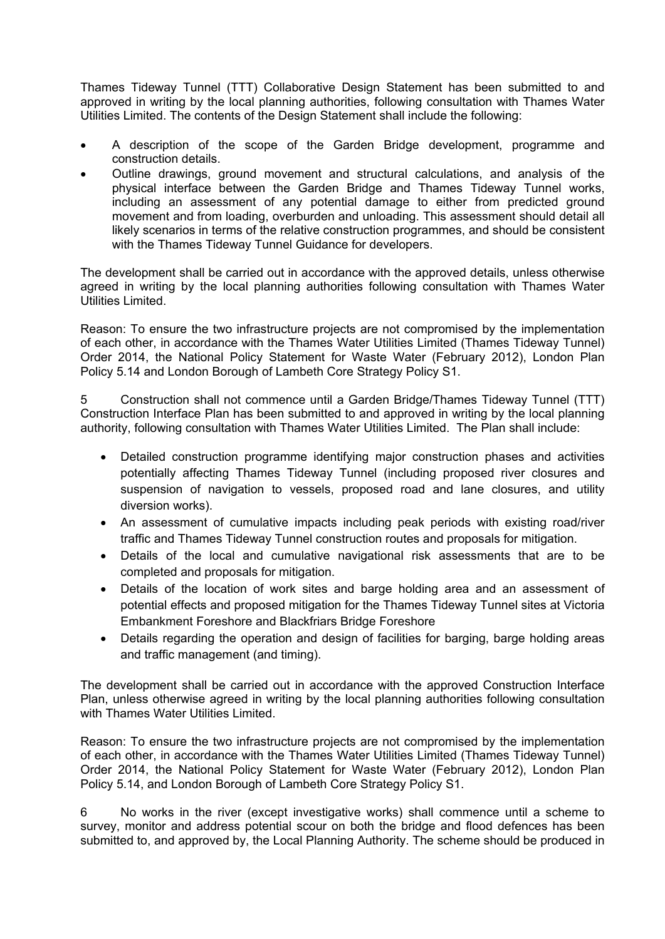Thames Tideway Tunnel (TTT) Collaborative Design Statement has been submitted to and approved in writing by the local planning authorities, following consultation with Thames Water Utilities Limited. The contents of the Design Statement shall include the following:

- A description of the scope of the Garden Bridge development, programme and construction details.
- Outline drawings, ground movement and structural calculations, and analysis of the physical interface between the Garden Bridge and Thames Tideway Tunnel works, including an assessment of any potential damage to either from predicted ground movement and from loading, overburden and unloading. This assessment should detail all likely scenarios in terms of the relative construction programmes, and should be consistent with the Thames Tideway Tunnel Guidance for developers.

The development shall be carried out in accordance with the approved details, unless otherwise agreed in writing by the local planning authorities following consultation with Thames Water Utilities Limited.

Reason: To ensure the two infrastructure projects are not compromised by the implementation of each other, in accordance with the Thames Water Utilities Limited (Thames Tideway Tunnel) Order 2014, the National Policy Statement for Waste Water (February 2012), London Plan Policy 5.14 and London Borough of Lambeth Core Strategy Policy S1.

5 Construction shall not commence until a Garden Bridge/Thames Tideway Tunnel (TTT) Construction Interface Plan has been submitted to and approved in writing by the local planning authority, following consultation with Thames Water Utilities Limited. The Plan shall include:

- Detailed construction programme identifying major construction phases and activities potentially affecting Thames Tideway Tunnel (including proposed river closures and suspension of navigation to vessels, proposed road and lane closures, and utility diversion works).
- An assessment of cumulative impacts including peak periods with existing road/river traffic and Thames Tideway Tunnel construction routes and proposals for mitigation.
- Details of the local and cumulative navigational risk assessments that are to be completed and proposals for mitigation.
- Details of the location of work sites and barge holding area and an assessment of potential effects and proposed mitigation for the Thames Tideway Tunnel sites at Victoria Embankment Foreshore and Blackfriars Bridge Foreshore
- Details regarding the operation and design of facilities for barging, barge holding areas and traffic management (and timing).

The development shall be carried out in accordance with the approved Construction Interface Plan, unless otherwise agreed in writing by the local planning authorities following consultation with Thames Water Utilities Limited.

Reason: To ensure the two infrastructure projects are not compromised by the implementation of each other, in accordance with the Thames Water Utilities Limited (Thames Tideway Tunnel) Order 2014, the National Policy Statement for Waste Water (February 2012), London Plan Policy 5.14, and London Borough of Lambeth Core Strategy Policy S1.

6 No works in the river (except investigative works) shall commence until a scheme to survey, monitor and address potential scour on both the bridge and flood defences has been submitted to, and approved by, the Local Planning Authority. The scheme should be produced in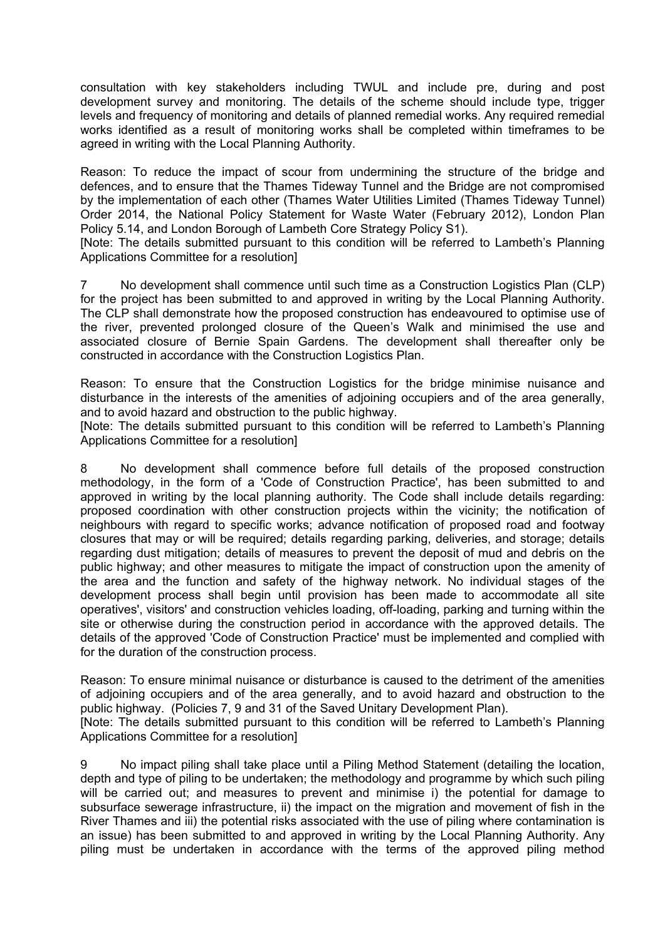consultation with key stakeholders including TWUL and include pre, during and post development survey and monitoring. The details of the scheme should include type, trigger levels and frequency of monitoring and details of planned remedial works. Any required remedial works identified as a result of monitoring works shall be completed within timeframes to be agreed in writing with the Local Planning Authority.

Reason: To reduce the impact of scour from undermining the structure of the bridge and defences, and to ensure that the Thames Tideway Tunnel and the Bridge are not compromised by the implementation of each other (Thames Water Utilities Limited (Thames Tideway Tunnel) Order 2014, the National Policy Statement for Waste Water (February 2012), London Plan Policy 5.14, and London Borough of Lambeth Core Strategy Policy S1).

[Note: The details submitted pursuant to this condition will be referred to Lambeth's Planning Applications Committee for a resolution]

7 No development shall commence until such time as a Construction Logistics Plan (CLP) for the project has been submitted to and approved in writing by the Local Planning Authority. The CLP shall demonstrate how the proposed construction has endeavoured to optimise use of the river, prevented prolonged closure of the Queen's Walk and minimised the use and associated closure of Bernie Spain Gardens. The development shall thereafter only be constructed in accordance with the Construction Logistics Plan.

Reason: To ensure that the Construction Logistics for the bridge minimise nuisance and disturbance in the interests of the amenities of adjoining occupiers and of the area generally, and to avoid hazard and obstruction to the public highway.

[Note: The details submitted pursuant to this condition will be referred to Lambeth's Planning Applications Committee for a resolution]

8 No development shall commence before full details of the proposed construction methodology, in the form of a 'Code of Construction Practice', has been submitted to and approved in writing by the local planning authority. The Code shall include details regarding: proposed coordination with other construction projects within the vicinity; the notification of neighbours with regard to specific works; advance notification of proposed road and footway closures that may or will be required; details regarding parking, deliveries, and storage; details regarding dust mitigation; details of measures to prevent the deposit of mud and debris on the public highway; and other measures to mitigate the impact of construction upon the amenity of the area and the function and safety of the highway network. No individual stages of the development process shall begin until provision has been made to accommodate all site operatives', visitors' and construction vehicles loading, off-loading, parking and turning within the site or otherwise during the construction period in accordance with the approved details. The details of the approved 'Code of Construction Practice' must be implemented and complied with for the duration of the construction process.

Reason: To ensure minimal nuisance or disturbance is caused to the detriment of the amenities of adjoining occupiers and of the area generally, and to avoid hazard and obstruction to the public highway. (Policies 7, 9 and 31 of the Saved Unitary Development Plan). [Note: The details submitted pursuant to this condition will be referred to Lambeth's Planning Applications Committee for a resolution]

9 No impact piling shall take place until a Piling Method Statement (detailing the location, depth and type of piling to be undertaken; the methodology and programme by which such piling will be carried out; and measures to prevent and minimise i) the potential for damage to subsurface sewerage infrastructure, ii) the impact on the migration and movement of fish in the River Thames and iii) the potential risks associated with the use of piling where contamination is an issue) has been submitted to and approved in writing by the Local Planning Authority. Any piling must be undertaken in accordance with the terms of the approved piling method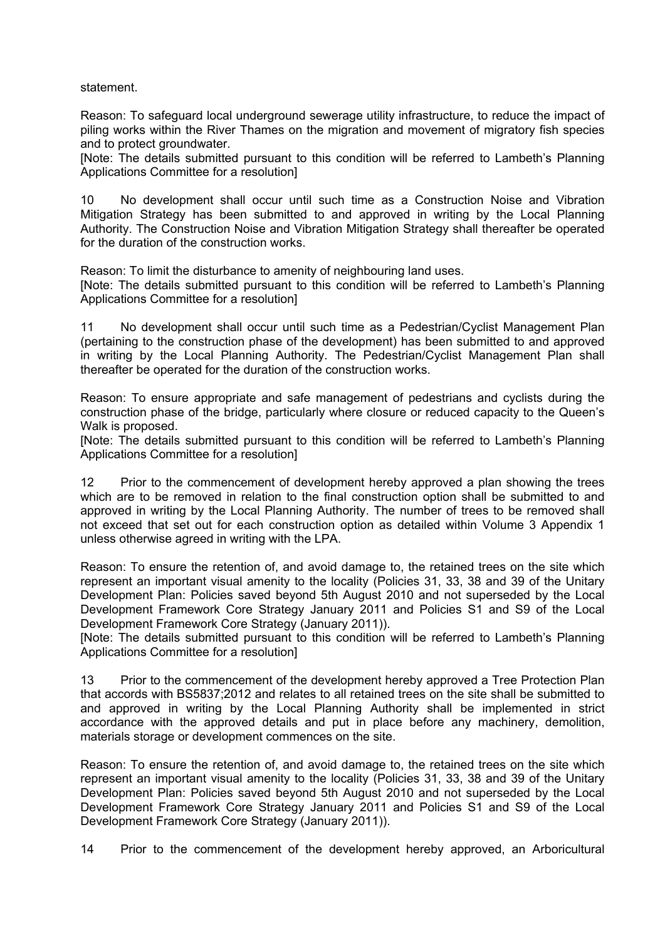statement.

Reason: To safeguard local underground sewerage utility infrastructure, to reduce the impact of piling works within the River Thames on the migration and movement of migratory fish species and to protect groundwater.

[Note: The details submitted pursuant to this condition will be referred to Lambeth's Planning Applications Committee for a resolution]

10 No development shall occur until such time as a Construction Noise and Vibration Mitigation Strategy has been submitted to and approved in writing by the Local Planning Authority. The Construction Noise and Vibration Mitigation Strategy shall thereafter be operated for the duration of the construction works.

Reason: To limit the disturbance to amenity of neighbouring land uses.

[Note: The details submitted pursuant to this condition will be referred to Lambeth's Planning Applications Committee for a resolution]

11 No development shall occur until such time as a Pedestrian/Cyclist Management Plan (pertaining to the construction phase of the development) has been submitted to and approved in writing by the Local Planning Authority. The Pedestrian/Cyclist Management Plan shall thereafter be operated for the duration of the construction works.

Reason: To ensure appropriate and safe management of pedestrians and cyclists during the construction phase of the bridge, particularly where closure or reduced capacity to the Queen's Walk is proposed.

[Note: The details submitted pursuant to this condition will be referred to Lambeth's Planning Applications Committee for a resolution]

12 Prior to the commencement of development hereby approved a plan showing the trees which are to be removed in relation to the final construction option shall be submitted to and approved in writing by the Local Planning Authority. The number of trees to be removed shall not exceed that set out for each construction option as detailed within Volume 3 Appendix 1 unless otherwise agreed in writing with the LPA.

Reason: To ensure the retention of, and avoid damage to, the retained trees on the site which represent an important visual amenity to the locality (Policies 31, 33, 38 and 39 of the Unitary Development Plan: Policies saved beyond 5th August 2010 and not superseded by the Local Development Framework Core Strategy January 2011 and Policies S1 and S9 of the Local Development Framework Core Strategy (January 2011)).

[Note: The details submitted pursuant to this condition will be referred to Lambeth's Planning Applications Committee for a resolution]

13 Prior to the commencement of the development hereby approved a Tree Protection Plan that accords with BS5837;2012 and relates to all retained trees on the site shall be submitted to and approved in writing by the Local Planning Authority shall be implemented in strict accordance with the approved details and put in place before any machinery, demolition, materials storage or development commences on the site.

Reason: To ensure the retention of, and avoid damage to, the retained trees on the site which represent an important visual amenity to the locality (Policies 31, 33, 38 and 39 of the Unitary Development Plan: Policies saved beyond 5th August 2010 and not superseded by the Local Development Framework Core Strategy January 2011 and Policies S1 and S9 of the Local Development Framework Core Strategy (January 2011)).

14 Prior to the commencement of the development hereby approved, an Arboricultural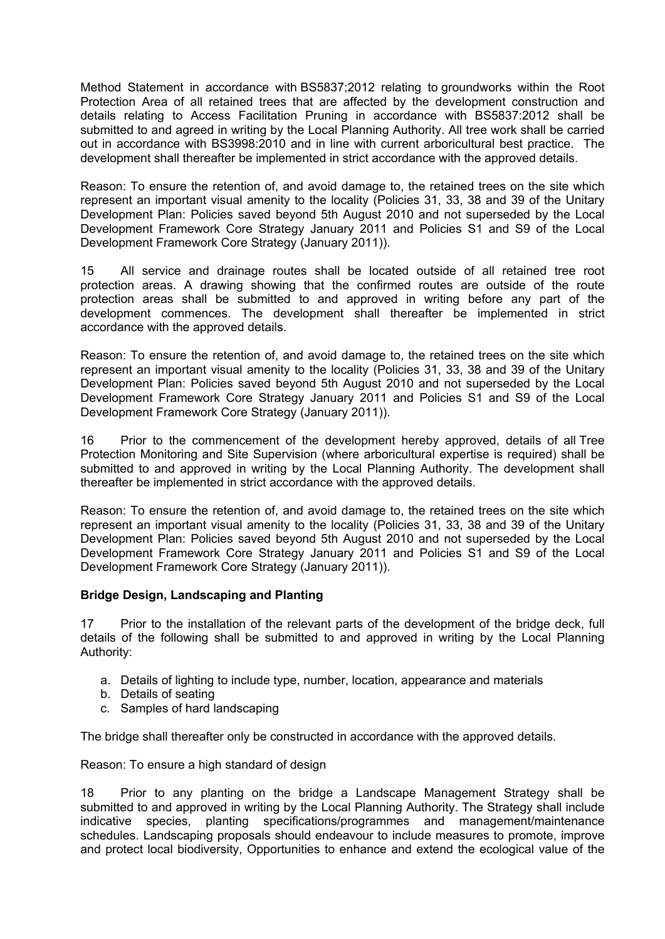Method Statement in accordance with BS5837;2012 relating to groundworks within the Root Protection Area of all retained trees that are affected by the development construction and details relating to Access Facilitation Pruning in accordance with BS5837:2012 shall be submitted to and agreed in writing by the Local Planning Authority. All tree work shall be carried out in accordance with BS3998:2010 and in line with current arboricultural best practice. The development shall thereafter be implemented in strict accordance with the approved details.

Reason: To ensure the retention of, and avoid damage to, the retained trees on the site which represent an important visual amenity to the locality (Policies 31, 33, 38 and 39 of the Unitary Development Plan: Policies saved beyond 5th August 2010 and not superseded by the Local Development Framework Core Strategy January 2011 and Policies S1 and S9 of the Local Development Framework Core Strategy (January 2011)).

15 All service and drainage routes shall be located outside of all retained tree root protection areas. A drawing showing that the confirmed routes are outside of the route protection areas shall be submitted to and approved in writing before any part of the development commences. The development shall thereafter be implemented in strict accordance with the approved details.

Reason: To ensure the retention of, and avoid damage to, the retained trees on the site which represent an important visual amenity to the locality (Policies 31, 33, 38 and 39 of the Unitary Development Plan: Policies saved beyond 5th August 2010 and not superseded by the Local Development Framework Core Strategy January 2011 and Policies S1 and S9 of the Local Development Framework Core Strategy (January 2011)).

16 Prior to the commencement of the development hereby approved, details of all Tree Protection Monitoring and Site Supervision (where arboricultural expertise is required) shall be submitted to and approved in writing by the Local Planning Authority. The development shall thereafter be implemented in strict accordance with the approved details.

Reason: To ensure the retention of, and avoid damage to, the retained trees on the site which represent an important visual amenity to the locality (Policies 31, 33, 38 and 39 of the Unitary Development Plan: Policies saved beyond 5th August 2010 and not superseded by the Local Development Framework Core Strategy January 2011 and Policies S1 and S9 of the Local Development Framework Core Strategy (January 2011)).

## **Bridge Design, Landscaping and Planting**

17 Prior to the installation of the relevant parts of the development of the bridge deck, full details of the following shall be submitted to and approved in writing by the Local Planning Authority:

- a. Details of lighting to include type, number, location, appearance and materials
- b. Details of seating
- c. Samples of hard landscaping

The bridge shall thereafter only be constructed in accordance with the approved details.

Reason: To ensure a high standard of design

18 Prior to any planting on the bridge a Landscape Management Strategy shall be submitted to and approved in writing by the Local Planning Authority. The Strategy shall include indicative species, planting specifications/programmes and management/maintenance schedules. Landscaping proposals should endeavour to include measures to promote, improve and protect local biodiversity, Opportunities to enhance and extend the ecological value of the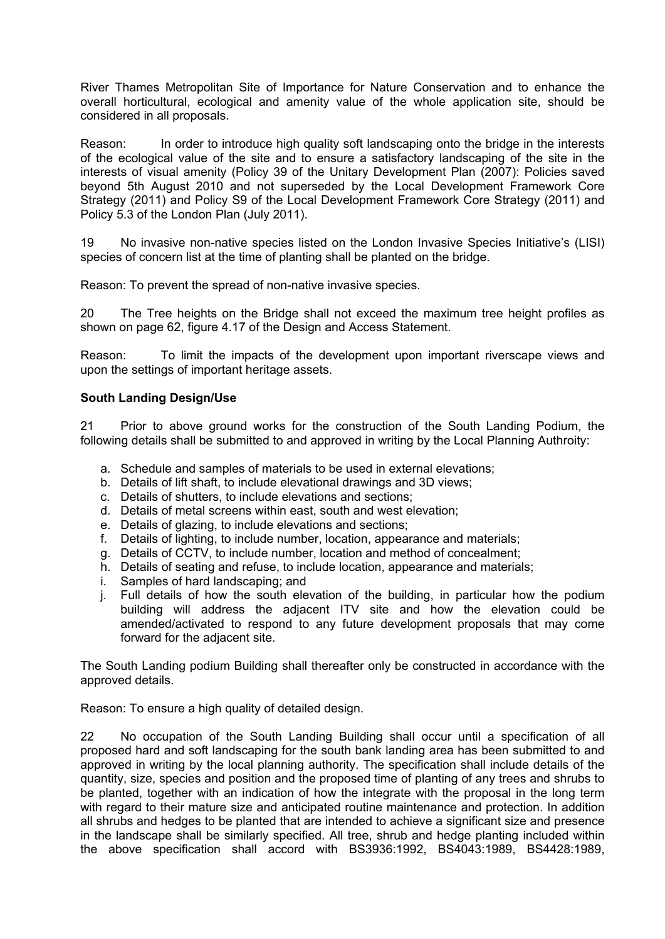River Thames Metropolitan Site of Importance for Nature Conservation and to enhance the overall horticultural, ecological and amenity value of the whole application site, should be considered in all proposals.

Reason: In order to introduce high quality soft landscaping onto the bridge in the interests of the ecological value of the site and to ensure a satisfactory landscaping of the site in the interests of visual amenity (Policy 39 of the Unitary Development Plan (2007): Policies saved beyond 5th August 2010 and not superseded by the Local Development Framework Core Strategy (2011) and Policy S9 of the Local Development Framework Core Strategy (2011) and Policy 5.3 of the London Plan (July 2011).

19 No invasive non-native species listed on the London Invasive Species Initiative's (LISI) species of concern list at the time of planting shall be planted on the bridge.

Reason: To prevent the spread of non-native invasive species.

20 The Tree heights on the Bridge shall not exceed the maximum tree height profiles as shown on page 62, figure 4.17 of the Design and Access Statement.

Reason: To limit the impacts of the development upon important riverscape views and upon the settings of important heritage assets.

## **South Landing Design/Use**

21 Prior to above ground works for the construction of the South Landing Podium, the following details shall be submitted to and approved in writing by the Local Planning Authroity:

- a. Schedule and samples of materials to be used in external elevations;
- b. Details of lift shaft, to include elevational drawings and 3D views;
- c. Details of shutters, to include elevations and sections;
- d. Details of metal screens within east, south and west elevation;
- e. Details of glazing, to include elevations and sections;
- f. Details of lighting, to include number, location, appearance and materials;
- g. Details of CCTV, to include number, location and method of concealment;
- h. Details of seating and refuse, to include location, appearance and materials;
- i. Samples of hard landscaping; and
- j. Full details of how the south elevation of the building, in particular how the podium building will address the adjacent ITV site and how the elevation could be amended/activated to respond to any future development proposals that may come forward for the adjacent site.

The South Landing podium Building shall thereafter only be constructed in accordance with the approved details.

Reason: To ensure a high quality of detailed design.

22 No occupation of the South Landing Building shall occur until a specification of all proposed hard and soft landscaping for the south bank landing area has been submitted to and approved in writing by the local planning authority. The specification shall include details of the quantity, size, species and position and the proposed time of planting of any trees and shrubs to be planted, together with an indication of how the integrate with the proposal in the long term with regard to their mature size and anticipated routine maintenance and protection. In addition all shrubs and hedges to be planted that are intended to achieve a significant size and presence in the landscape shall be similarly specified. All tree, shrub and hedge planting included within the above specification shall accord with BS3936:1992, BS4043:1989, BS4428:1989,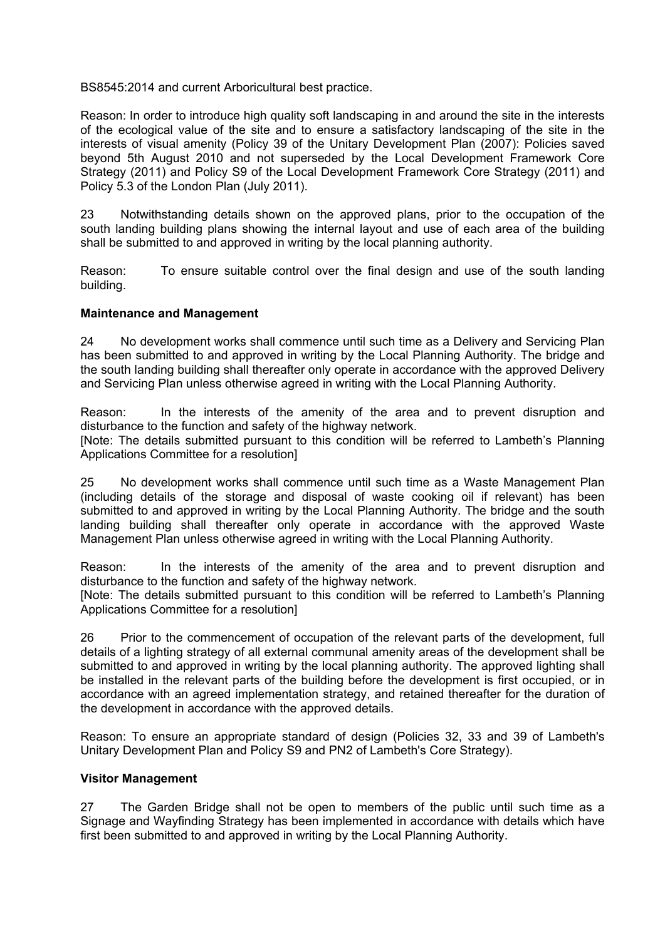BS8545:2014 and current Arboricultural best practice.

Reason: In order to introduce high quality soft landscaping in and around the site in the interests of the ecological value of the site and to ensure a satisfactory landscaping of the site in the interests of visual amenity (Policy 39 of the Unitary Development Plan (2007): Policies saved beyond 5th August 2010 and not superseded by the Local Development Framework Core Strategy (2011) and Policy S9 of the Local Development Framework Core Strategy (2011) and Policy 5.3 of the London Plan (July 2011).

23 Notwithstanding details shown on the approved plans, prior to the occupation of the south landing building plans showing the internal layout and use of each area of the building shall be submitted to and approved in writing by the local planning authority.

Reason: To ensure suitable control over the final design and use of the south landing building.

#### **Maintenance and Management**

24 No development works shall commence until such time as a Delivery and Servicing Plan has been submitted to and approved in writing by the Local Planning Authority. The bridge and the south landing building shall thereafter only operate in accordance with the approved Delivery and Servicing Plan unless otherwise agreed in writing with the Local Planning Authority.

Reason: In the interests of the amenity of the area and to prevent disruption and disturbance to the function and safety of the highway network.

[Note: The details submitted pursuant to this condition will be referred to Lambeth's Planning Applications Committee for a resolution]

25 No development works shall commence until such time as a Waste Management Plan (including details of the storage and disposal of waste cooking oil if relevant) has been submitted to and approved in writing by the Local Planning Authority. The bridge and the south landing building shall thereafter only operate in accordance with the approved Waste Management Plan unless otherwise agreed in writing with the Local Planning Authority.

Reason: In the interests of the amenity of the area and to prevent disruption and disturbance to the function and safety of the highway network.

[Note: The details submitted pursuant to this condition will be referred to Lambeth's Planning Applications Committee for a resolution]

26 Prior to the commencement of occupation of the relevant parts of the development, full details of a lighting strategy of all external communal amenity areas of the development shall be submitted to and approved in writing by the local planning authority. The approved lighting shall be installed in the relevant parts of the building before the development is first occupied, or in accordance with an agreed implementation strategy, and retained thereafter for the duration of the development in accordance with the approved details.

Reason: To ensure an appropriate standard of design (Policies 32, 33 and 39 of Lambeth's Unitary Development Plan and Policy S9 and PN2 of Lambeth's Core Strategy).

#### **Visitor Management**

27 The Garden Bridge shall not be open to members of the public until such time as a Signage and Wayfinding Strategy has been implemented in accordance with details which have first been submitted to and approved in writing by the Local Planning Authority.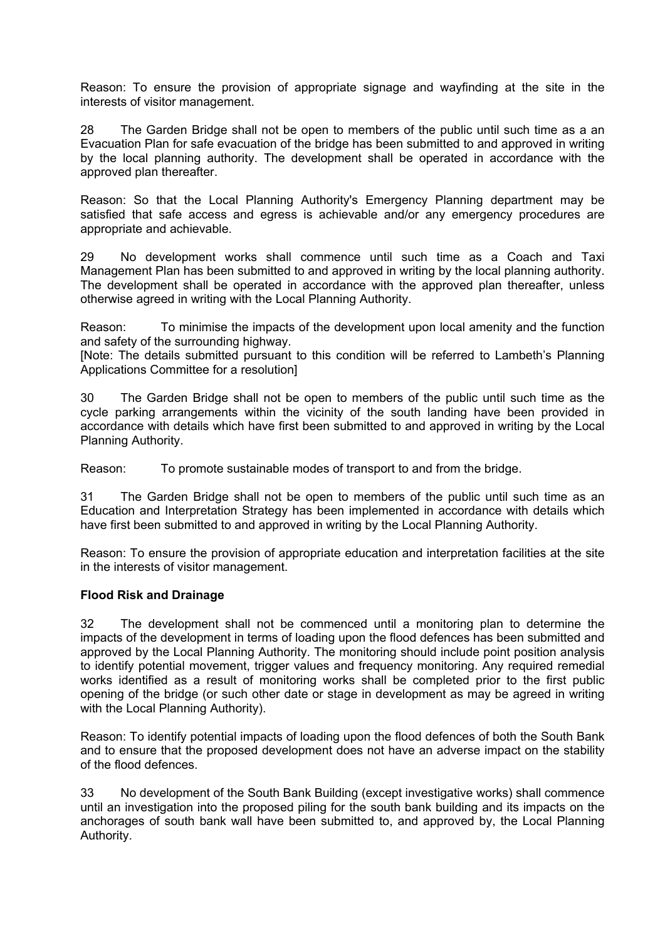Reason: To ensure the provision of appropriate signage and wayfinding at the site in the interests of visitor management.

28 The Garden Bridge shall not be open to members of the public until such time as a an Evacuation Plan for safe evacuation of the bridge has been submitted to and approved in writing by the local planning authority. The development shall be operated in accordance with the approved plan thereafter.

Reason: So that the Local Planning Authority's Emergency Planning department may be satisfied that safe access and egress is achievable and/or any emergency procedures are appropriate and achievable.

29 No development works shall commence until such time as a Coach and Taxi Management Plan has been submitted to and approved in writing by the local planning authority. The development shall be operated in accordance with the approved plan thereafter, unless otherwise agreed in writing with the Local Planning Authority.

Reason: To minimise the impacts of the development upon local amenity and the function and safety of the surrounding highway.

[Note: The details submitted pursuant to this condition will be referred to Lambeth's Planning Applications Committee for a resolution]

30 The Garden Bridge shall not be open to members of the public until such time as the cycle parking arrangements within the vicinity of the south landing have been provided in accordance with details which have first been submitted to and approved in writing by the Local Planning Authority.

Reason: To promote sustainable modes of transport to and from the bridge.

31 The Garden Bridge shall not be open to members of the public until such time as an Education and Interpretation Strategy has been implemented in accordance with details which have first been submitted to and approved in writing by the Local Planning Authority.

Reason: To ensure the provision of appropriate education and interpretation facilities at the site in the interests of visitor management.

## **Flood Risk and Drainage**

32 The development shall not be commenced until a monitoring plan to determine the impacts of the development in terms of loading upon the flood defences has been submitted and approved by the Local Planning Authority. The monitoring should include point position analysis to identify potential movement, trigger values and frequency monitoring. Any required remedial works identified as a result of monitoring works shall be completed prior to the first public opening of the bridge (or such other date or stage in development as may be agreed in writing with the Local Planning Authority).

Reason: To identify potential impacts of loading upon the flood defences of both the South Bank and to ensure that the proposed development does not have an adverse impact on the stability of the flood defences.

33 No development of the South Bank Building (except investigative works) shall commence until an investigation into the proposed piling for the south bank building and its impacts on the anchorages of south bank wall have been submitted to, and approved by, the Local Planning Authority.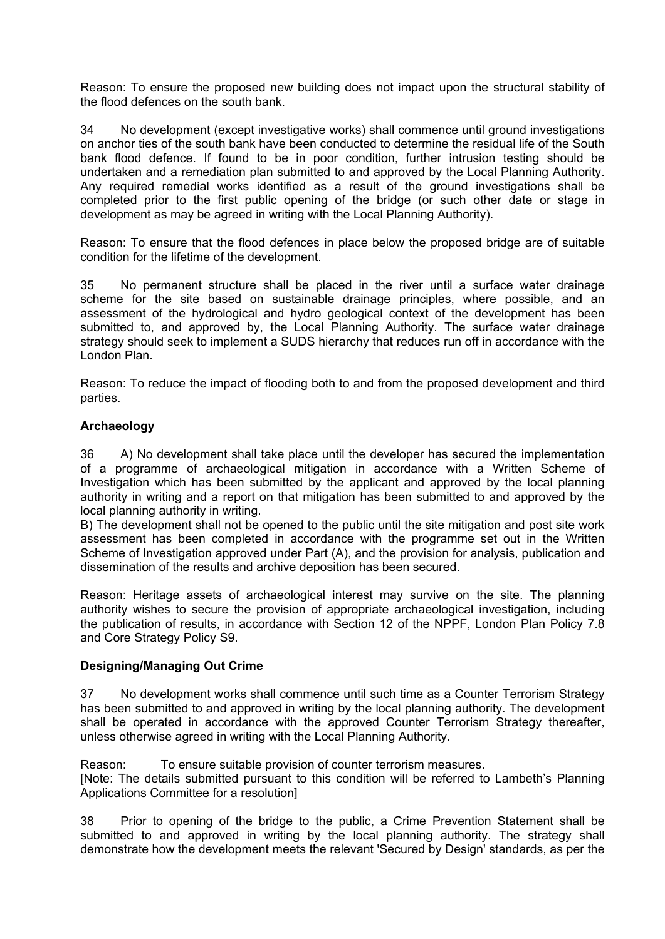Reason: To ensure the proposed new building does not impact upon the structural stability of the flood defences on the south bank.

34 No development (except investigative works) shall commence until ground investigations on anchor ties of the south bank have been conducted to determine the residual life of the South bank flood defence. If found to be in poor condition, further intrusion testing should be undertaken and a remediation plan submitted to and approved by the Local Planning Authority. Any required remedial works identified as a result of the ground investigations shall be completed prior to the first public opening of the bridge (or such other date or stage in development as may be agreed in writing with the Local Planning Authority).

Reason: To ensure that the flood defences in place below the proposed bridge are of suitable condition for the lifetime of the development.

35 No permanent structure shall be placed in the river until a surface water drainage scheme for the site based on sustainable drainage principles, where possible, and an assessment of the hydrological and hydro geological context of the development has been submitted to, and approved by, the Local Planning Authority. The surface water drainage strategy should seek to implement a SUDS hierarchy that reduces run off in accordance with the London Plan.

Reason: To reduce the impact of flooding both to and from the proposed development and third parties.

## **Archaeology**

36 A) No development shall take place until the developer has secured the implementation of a programme of archaeological mitigation in accordance with a Written Scheme of Investigation which has been submitted by the applicant and approved by the local planning authority in writing and a report on that mitigation has been submitted to and approved by the local planning authority in writing.

B) The development shall not be opened to the public until the site mitigation and post site work assessment has been completed in accordance with the programme set out in the Written Scheme of Investigation approved under Part (A), and the provision for analysis, publication and dissemination of the results and archive deposition has been secured.

Reason: Heritage assets of archaeological interest may survive on the site. The planning authority wishes to secure the provision of appropriate archaeological investigation, including the publication of results, in accordance with Section 12 of the NPPF, London Plan Policy 7.8 and Core Strategy Policy S9.

## **Designing/Managing Out Crime**

37 No development works shall commence until such time as a Counter Terrorism Strategy has been submitted to and approved in writing by the local planning authority. The development shall be operated in accordance with the approved Counter Terrorism Strategy thereafter, unless otherwise agreed in writing with the Local Planning Authority.

Reason: To ensure suitable provision of counter terrorism measures. [Note: The details submitted pursuant to this condition will be referred to Lambeth's Planning Applications Committee for a resolution]

38 Prior to opening of the bridge to the public, a Crime Prevention Statement shall be submitted to and approved in writing by the local planning authority. The strategy shall demonstrate how the development meets the relevant 'Secured by Design' standards, as per the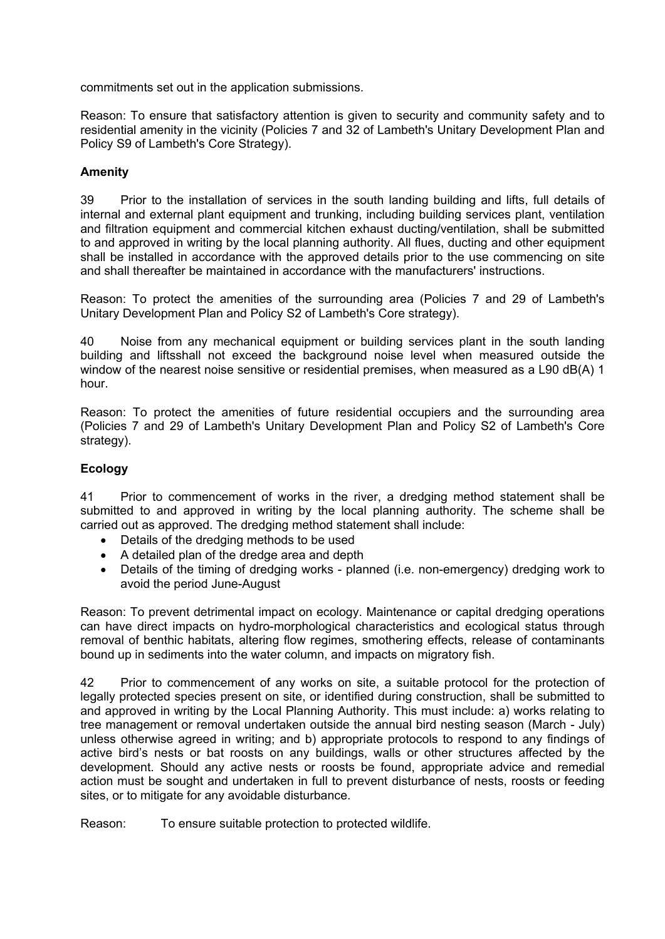commitments set out in the application submissions.

Reason: To ensure that satisfactory attention is given to security and community safety and to residential amenity in the vicinity (Policies 7 and 32 of Lambeth's Unitary Development Plan and Policy S9 of Lambeth's Core Strategy).

#### **Amenity**

39 Prior to the installation of services in the south landing building and lifts, full details of internal and external plant equipment and trunking, including building services plant, ventilation and filtration equipment and commercial kitchen exhaust ducting/ventilation, shall be submitted to and approved in writing by the local planning authority. All flues, ducting and other equipment shall be installed in accordance with the approved details prior to the use commencing on site and shall thereafter be maintained in accordance with the manufacturers' instructions.

Reason: To protect the amenities of the surrounding area (Policies 7 and 29 of Lambeth's Unitary Development Plan and Policy S2 of Lambeth's Core strategy).

40 Noise from any mechanical equipment or building services plant in the south landing building and liftsshall not exceed the background noise level when measured outside the window of the nearest noise sensitive or residential premises, when measured as a L90 dB(A) 1 hour.

Reason: To protect the amenities of future residential occupiers and the surrounding area (Policies 7 and 29 of Lambeth's Unitary Development Plan and Policy S2 of Lambeth's Core strategy).

## **Ecology**

41 Prior to commencement of works in the river, a dredging method statement shall be submitted to and approved in writing by the local planning authority. The scheme shall be carried out as approved. The dredging method statement shall include:

- Details of the dredging methods to be used
- A detailed plan of the dredge area and depth
- Details of the timing of dredging works planned (i.e. non-emergency) dredging work to avoid the period June-August

Reason: To prevent detrimental impact on ecology. Maintenance or capital dredging operations can have direct impacts on hydro-morphological characteristics and ecological status through removal of benthic habitats, altering flow regimes, smothering effects, release of contaminants bound up in sediments into the water column, and impacts on migratory fish.

42 Prior to commencement of any works on site, a suitable protocol for the protection of legally protected species present on site, or identified during construction, shall be submitted to and approved in writing by the Local Planning Authority. This must include: a) works relating to tree management or removal undertaken outside the annual bird nesting season (March - July) unless otherwise agreed in writing; and b) appropriate protocols to respond to any findings of active bird's nests or bat roosts on any buildings, walls or other structures affected by the development. Should any active nests or roosts be found, appropriate advice and remedial action must be sought and undertaken in full to prevent disturbance of nests, roosts or feeding sites, or to mitigate for any avoidable disturbance.

Reason: To ensure suitable protection to protected wildlife.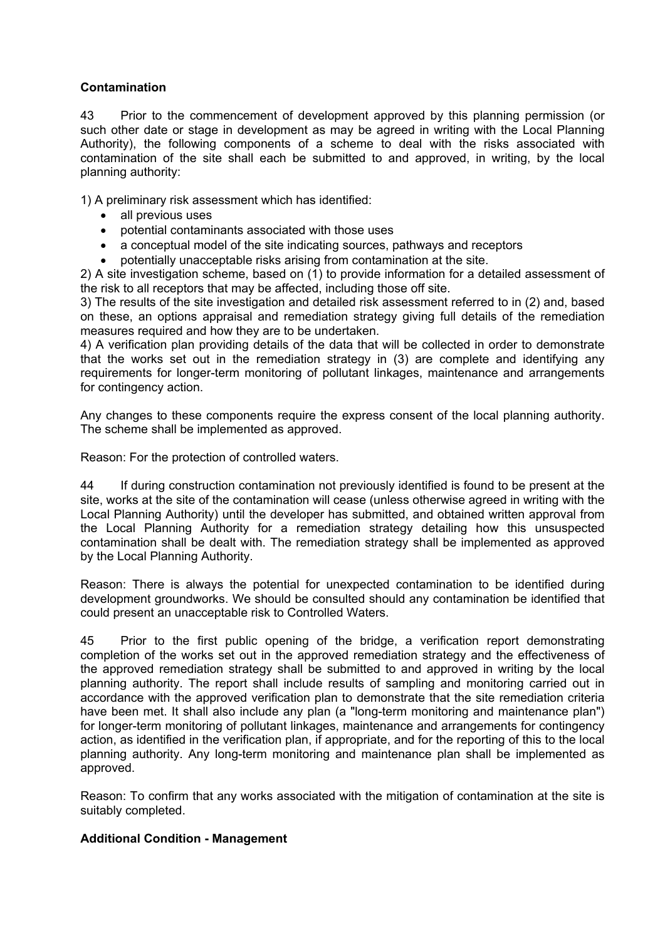## **Contamination**

43 Prior to the commencement of development approved by this planning permission (or such other date or stage in development as may be agreed in writing with the Local Planning Authority), the following components of a scheme to deal with the risks associated with contamination of the site shall each be submitted to and approved, in writing, by the local planning authority:

1) A preliminary risk assessment which has identified:

- all previous uses
- potential contaminants associated with those uses
- a conceptual model of the site indicating sources, pathways and receptors
- potentially unacceptable risks arising from contamination at the site.

2) A site investigation scheme, based on (1) to provide information for a detailed assessment of the risk to all receptors that may be affected, including those off site.

3) The results of the site investigation and detailed risk assessment referred to in (2) and, based on these, an options appraisal and remediation strategy giving full details of the remediation measures required and how they are to be undertaken.

4) A verification plan providing details of the data that will be collected in order to demonstrate that the works set out in the remediation strategy in (3) are complete and identifying any requirements for longer-term monitoring of pollutant linkages, maintenance and arrangements for contingency action.

Any changes to these components require the express consent of the local planning authority. The scheme shall be implemented as approved.

Reason: For the protection of controlled waters.

44 If during construction contamination not previously identified is found to be present at the site, works at the site of the contamination will cease (unless otherwise agreed in writing with the Local Planning Authority) until the developer has submitted, and obtained written approval from the Local Planning Authority for a remediation strategy detailing how this unsuspected contamination shall be dealt with. The remediation strategy shall be implemented as approved by the Local Planning Authority.

Reason: There is always the potential for unexpected contamination to be identified during development groundworks. We should be consulted should any contamination be identified that could present an unacceptable risk to Controlled Waters.

45 Prior to the first public opening of the bridge, a verification report demonstrating completion of the works set out in the approved remediation strategy and the effectiveness of the approved remediation strategy shall be submitted to and approved in writing by the local planning authority. The report shall include results of sampling and monitoring carried out in accordance with the approved verification plan to demonstrate that the site remediation criteria have been met. It shall also include any plan (a "long-term monitoring and maintenance plan") for longer-term monitoring of pollutant linkages, maintenance and arrangements for contingency action, as identified in the verification plan, if appropriate, and for the reporting of this to the local planning authority. Any long-term monitoring and maintenance plan shall be implemented as approved.

Reason: To confirm that any works associated with the mitigation of contamination at the site is suitably completed.

## **Additional Condition - Management**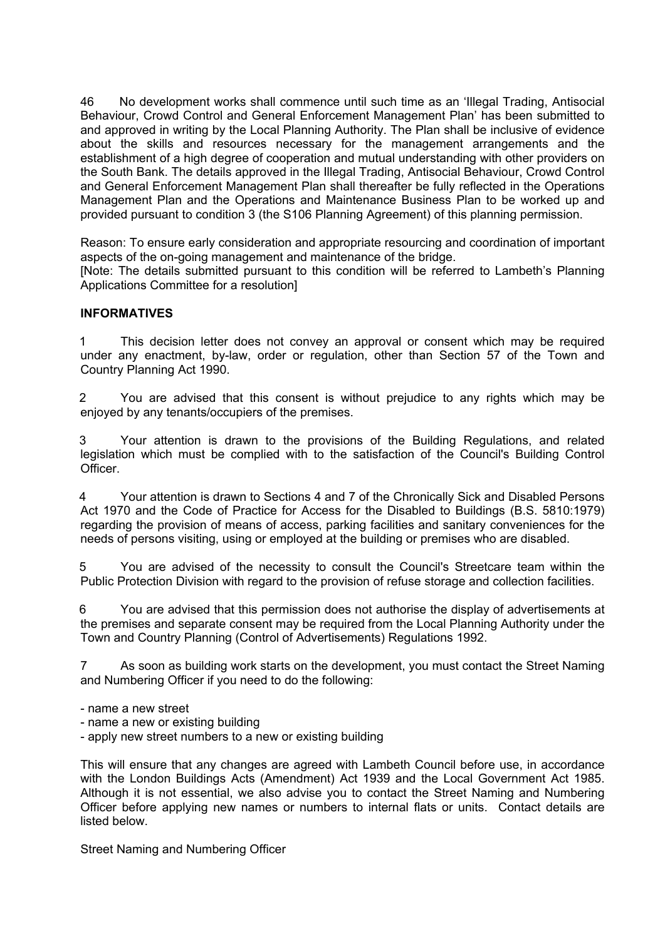46 No development works shall commence until such time as an 'Illegal Trading, Antisocial Behaviour, Crowd Control and General Enforcement Management Plan' has been submitted to and approved in writing by the Local Planning Authority. The Plan shall be inclusive of evidence about the skills and resources necessary for the management arrangements and the establishment of a high degree of cooperation and mutual understanding with other providers on the South Bank. The details approved in the Illegal Trading, Antisocial Behaviour, Crowd Control and General Enforcement Management Plan shall thereafter be fully reflected in the Operations Management Plan and the Operations and Maintenance Business Plan to be worked up and provided pursuant to condition 3 (the S106 Planning Agreement) of this planning permission.

Reason: To ensure early consideration and appropriate resourcing and coordination of important aspects of the on-going management and maintenance of the bridge. [Note: The details submitted pursuant to this condition will be referred to Lambeth's Planning Applications Committee for a resolution]

## **INFORMATIVES**

1 This decision letter does not convey an approval or consent which may be required under any enactment, by-law, order or regulation, other than Section 57 of the Town and Country Planning Act 1990.

2 You are advised that this consent is without prejudice to any rights which may be enjoyed by any tenants/occupiers of the premises.

3 Your attention is drawn to the provisions of the Building Regulations, and related legislation which must be complied with to the satisfaction of the Council's Building Control **Officer** 

4 Your attention is drawn to Sections 4 and 7 of the Chronically Sick and Disabled Persons Act 1970 and the Code of Practice for Access for the Disabled to Buildings (B.S. 5810:1979) regarding the provision of means of access, parking facilities and sanitary conveniences for the needs of persons visiting, using or employed at the building or premises who are disabled.

5 You are advised of the necessity to consult the Council's Streetcare team within the Public Protection Division with regard to the provision of refuse storage and collection facilities.

6 You are advised that this permission does not authorise the display of advertisements at the premises and separate consent may be required from the Local Planning Authority under the Town and Country Planning (Control of Advertisements) Regulations 1992.

7 As soon as building work starts on the development, you must contact the Street Naming and Numbering Officer if you need to do the following:

- name a new street
- name a new or existing building
- apply new street numbers to a new or existing building

This will ensure that any changes are agreed with Lambeth Council before use, in accordance with the London Buildings Acts (Amendment) Act 1939 and the Local Government Act 1985. Although it is not essential, we also advise you to contact the Street Naming and Numbering Officer before applying new names or numbers to internal flats or units. Contact details are listed below.

Street Naming and Numbering Officer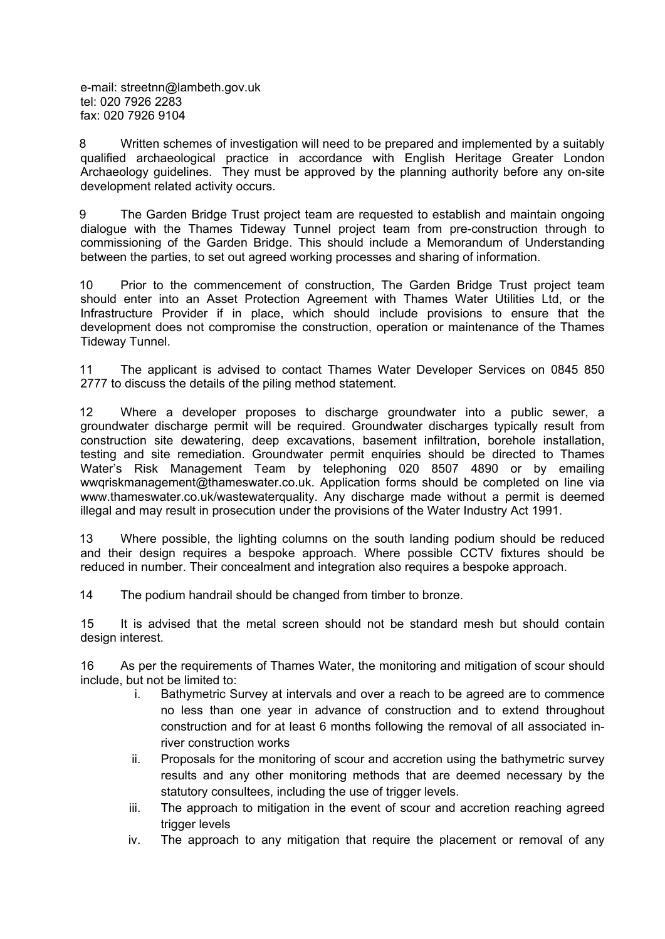e-mail: streetnn@lambeth.gov.uk tel: 020 7926 2283 fax: 020 7926 9104

8 Written schemes of investigation will need to be prepared and implemented by a suitably qualified archaeological practice in accordance with English Heritage Greater London Archaeology guidelines. They must be approved by the planning authority before any on-site development related activity occurs.

9 The Garden Bridge Trust project team are requested to establish and maintain ongoing dialogue with the Thames Tideway Tunnel project team from pre-construction through to commissioning of the Garden Bridge. This should include a Memorandum of Understanding between the parties, to set out agreed working processes and sharing of information.

10 Prior to the commencement of construction, The Garden Bridge Trust project team should enter into an Asset Protection Agreement with Thames Water Utilities Ltd, or the Infrastructure Provider if in place, which should include provisions to ensure that the development does not compromise the construction, operation or maintenance of the Thames Tideway Tunnel.

11 The applicant is advised to contact Thames Water Developer Services on 0845 850 2777 to discuss the details of the piling method statement.

12 Where a developer proposes to discharge groundwater into a public sewer, a groundwater discharge permit will be required. Groundwater discharges typically result from construction site dewatering, deep excavations, basement infiltration, borehole installation, testing and site remediation. Groundwater permit enquiries should be directed to Thames Water's Risk Management Team by telephoning 020 8507 4890 or by emailing wwqriskmanagement@thameswater.co.uk. Application forms should be completed on line via www.thameswater.co.uk/wastewaterquality. Any discharge made without a permit is deemed illegal and may result in prosecution under the provisions of the Water Industry Act 1991.

13 Where possible, the lighting columns on the south landing podium should be reduced and their design requires a bespoke approach. Where possible CCTV fixtures should be reduced in number. Their concealment and integration also requires a bespoke approach.

14 The podium handrail should be changed from timber to bronze.

15 It is advised that the metal screen should not be standard mesh but should contain design interest.

16 As per the requirements of Thames Water, the monitoring and mitigation of scour should include, but not be limited to:

- i. Bathymetric Survey at intervals and over a reach to be agreed are to commence no less than one year in advance of construction and to extend throughout construction and for at least 6 months following the removal of all associated inriver construction works
- ii. Proposals for the monitoring of scour and accretion using the bathymetric survey results and any other monitoring methods that are deemed necessary by the statutory consultees, including the use of trigger levels.
- iii. The approach to mitigation in the event of scour and accretion reaching agreed trigger levels
- iv. The approach to any mitigation that require the placement or removal of any